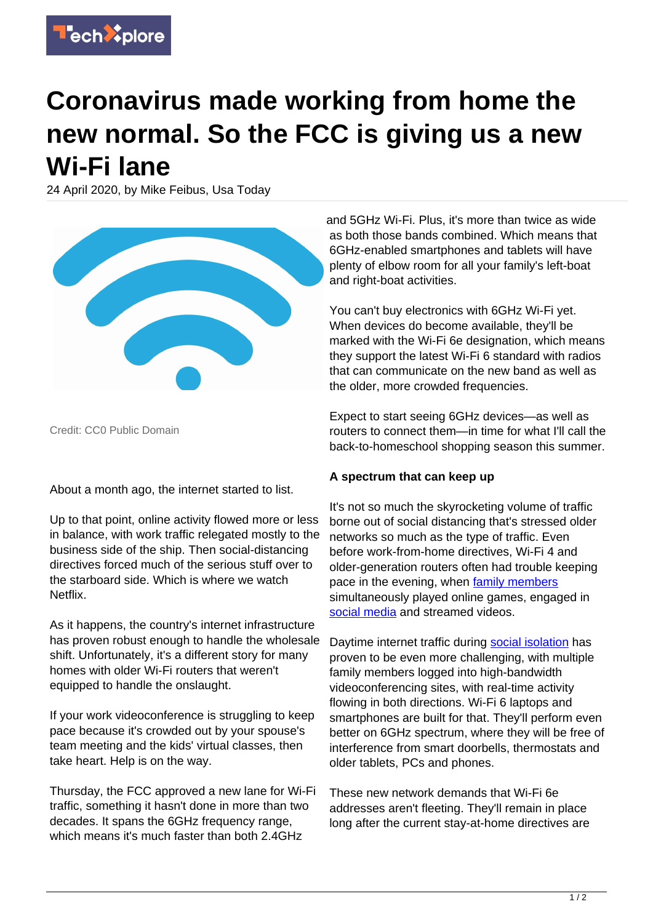

## **Coronavirus made working from home the new normal. So the FCC is giving us a new Wi-Fi lane**

24 April 2020, by Mike Feibus, Usa Today



Credit: CC0 Public Domain

About a month ago, the internet started to list.

Up to that point, online activity flowed more or less in balance, with work traffic relegated mostly to the business side of the ship. Then social-distancing directives forced much of the serious stuff over to the starboard side. Which is where we watch Netflix.

As it happens, the country's internet infrastructure has proven robust enough to handle the wholesale shift. Unfortunately, it's a different story for many homes with older Wi-Fi routers that weren't equipped to handle the onslaught.

If your work videoconference is struggling to keep pace because it's crowded out by your spouse's team meeting and the kids' virtual classes, then take heart. Help is on the way.

Thursday, the FCC approved a new lane for Wi-Fi traffic, something it hasn't done in more than two decades. It spans the 6GHz frequency range, which means it's much faster than both 2.4GHz

and 5GHz Wi-Fi. Plus, it's more than twice as wide as both those bands combined. Which means that 6GHz-enabled smartphones and tablets will have plenty of elbow room for all your family's left-boat and right-boat activities.

You can't buy electronics with 6GHz Wi-Fi yet. When devices do become available, they'll be marked with the Wi-Fi 6e designation, which means they support the latest Wi-Fi 6 standard with radios that can communicate on the new band as well as the older, more crowded frequencies.

Expect to start seeing 6GHz devices—as well as routers to connect them—in time for what I'll call the back-to-homeschool shopping season this summer.

## **A spectrum that can keep up**

It's not so much the skyrocketing volume of traffic borne out of social distancing that's stressed older networks so much as the type of traffic. Even before work-from-home directives, Wi-Fi 4 and older-generation routers often had trouble keeping pace in the evening, when [family members](https://techxplore.com/tags/family+members/) simultaneously played online games, engaged in [social media](https://techxplore.com/tags/social+media/) and streamed videos.

Daytime internet traffic during [social isolation](https://techxplore.com/tags/social+isolation/) has proven to be even more challenging, with multiple family members logged into high-bandwidth videoconferencing sites, with real-time activity flowing in both directions. Wi-Fi 6 laptops and smartphones are built for that. They'll perform even better on 6GHz spectrum, where they will be free of interference from smart doorbells, thermostats and older tablets, PCs and phones.

These new network demands that Wi-Fi 6e addresses aren't fleeting. They'll remain in place long after the current stay-at-home directives are